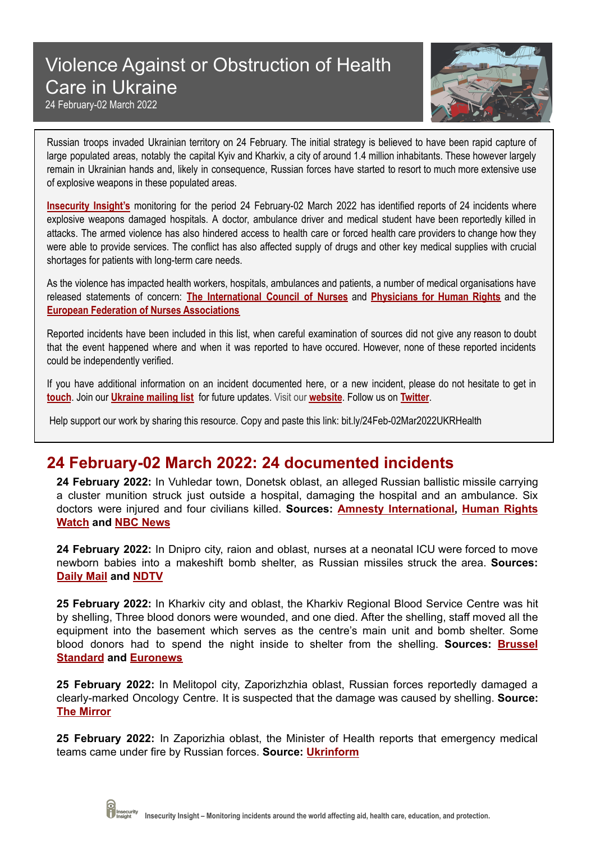## Violence Against or Obstruction of Health Care in Ukraine



24 February-02 March 2022

Russian troops invaded Ukrainian territory on 24 February. The initial strategy is believed to have been rapid capture of large populated areas, notably the capital Kyiv and Kharkiv, a city of around 1.4 million inhabitants. These however largely remain in Ukrainian hands and, likely in consequence, Russian forces have started to resort to much more extensive use of explosive weapons in these populated areas.

**[Insecurity](http://insecurityinsight.org/) Insight's** monitoring for the period 24 February-02 March 2022 has identified reports of 24 incidents where explosive weapons damaged hospitals. A doctor, ambulance driver and medical student have been reportedly killed in attacks. The armed violence has also hindered access to health care or forced health care providers to change how they were able to provide services. The conflict has also affected supply of drugs and other key medical supplies with crucial shortages for patients with long-term care needs.

As the violence has impacted health workers, hospitals, ambulances and patients, a number of medical organisations have released statements of concern: **The [International](https://www.icn.ch/news/icn-says-protection-and-safety-nurses-and-all-health-workers-ukraine-paramount) Council of Nurses** and **[Physicians](https://phr.org/news/russia-must-cease-hostilities-violations-of-international-law-in-ukraine-phr/) for Human Rights** and the **European Federation of Nurses [Associations](https://efn.eu/?p=14546)**

Reported incidents have been included in this list, when careful examination of sources did not give any reason to doubt that the event happened where and when it was reported to have occured. However, none of these reported incidents could be independently verified.

If you have additional information on an incident documented here, or a new incident, please do not hesitate to get in **[touch](mailto:info@insecurityinsight.org)**. Join our **[Ukraine](http://eepurl.com/gPFd0v) mailing list** for future updates. Visit our **[website](http://insecurityinsight.org/projects/healthcare)**. Follow us on **[Twitter](https://twitter.com/InsecurityInsig)**.

Help support our work by sharing this resource. Copy and paste this link: bit.ly/24Feb-02Mar2022UKRHealth

## **24 February-02 March 2022: 24 documented incidents**

**24 February 2022:** In Vuhledar town, Donetsk oblast, an alleged Russian ballistic missile carrying a cluster munition struck just outside a hospital, damaging the hospital and an ambulance. Six doctors were injured and four civilians killed. **Sources: Amnesty [International,](https://twitter.com/amnesty/status/1496873598153216005) [Human](https://www.hrw.org/news/2022/02/25/ukraine-russian-cluster-munition-hits-hospital) Rights [Watch](https://www.hrw.org/news/2022/02/25/ukraine-russian-cluster-munition-hits-hospital) and NBC [News](https://www.nbcnews.com/politics/politics-news/live-blog/russia-ukraine-conflict-live-updates-n1289655/ncrd1289752#blogHeader)**

**24 February 2022:** In Dnipro city, raion and oblast, nurses at a neonatal ICU were forced to move newborn babies into a makeshift bomb shelter, as Russian missiles struck the area. **Sources: [Daily](https://www.dailymail.co.uk/news/article-10550331/Newborn-infants-childrens-hospital-Dnipro-eastern-Ukraine-moved-bomb-shelter.html) Mail and [NDTV](https://www.ndtv.com/world-news/watch-newborns-at-ukraine-hospital-moved-into-bomb-shelter-as-russia-rains-missiles-2788955)**

**25 February 2022:** In Kharkiv city and oblast, the Kharkiv Regional Blood Service Centre was hit by shelling, Three blood donors were wounded, and one died. After the shelling, staff moved all the equipment into the basement which serves as the centre's main unit and bomb shelter. Some blood donors had to spend the night inside to shelter from the shelling. **Sources: [Brussel](https://www.brusselsstandard.eu/2022/02/27/kharkiv-blood-donation-centre-hit-by-shelling/) [Standard](https://www.brusselsstandard.eu/2022/02/27/kharkiv-blood-donation-centre-hit-by-shelling/) and [Euronews](https://www.euronews.com/2022/02/27/kharkiv-blood-donation-centre-hit-by-shelling)**

**25 February 2022:** In Melitopol city, Zaporizhzhia oblast, Russian forces reportedly damaged a clearly-marked Oncology Centre. It is suspected that the damage was caused by shelling. **Source: The [Mirror](https://www.mirror.co.uk/news/world-news/ukrainian-cancer-centre-left-flames-26333948)**

**25 February 2022:** In Zaporizhia oblast, the Minister of Health reports that emergency medical teams came under fire by Russian forces. **Source: [Ukrinform](https://www.ukrinform.ua/rubric-ato/3412963-rosijski-vijska-obstriluut-brigadi-ekstrenoi-meddopomogi-ta-likarni-lasko.html)**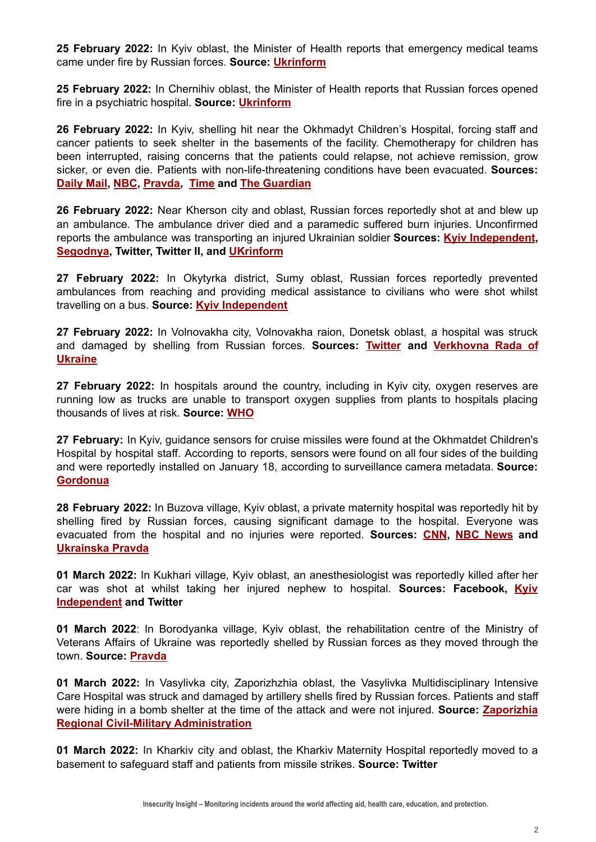**25 February 2022:** In Kyiv oblast, the Minister of Health reports that emergency medical teams came under fire by Russian forces. **Source: [Ukrinform](https://www.ukrinform.ua/rubric-ato/3412963-rosijski-vijska-obstriluut-brigadi-ekstrenoi-meddopomogi-ta-likarni-lasko.html)**

**25 February 2022:** In Chernihiv oblast, the Minister of Health reports that Russian forces opened fire in a psychiatric hospital. **Source: [Ukrinform](https://www.ukrinform.ua/rubric-ato/3412963-rosijski-vijska-obstriluut-brigadi-ekstrenoi-meddopomogi-ta-likarni-lasko.html)**

**26 February 2022:** In Kyiv, shelling hit near the Okhmadyt Children's Hospital, forcing staff and cancer patients to seek shelter in the basements of the facility. Chemotherapy for children has been interrupted, raising concerns that the patients could relapse, not achieve remission, grow sicker, or even die. Patients with non-life-threatening conditions have been evacuated. **Sources: [Daily](https://www.dailymail.co.uk/news/article-10563725/Children-cancer-shelter-Ukrainian-hospital-not-survive-unless-evacuated-doctors-warn.html) Mail, [NBC](https://www.nbcnews.com/news/world/kids-cancer-ukraine-shelter-hospital-basements-hoping-evacuate-rcna17939), [Pravda](https://www.pravda.com.ua/news/2022/02/26/7326263/), [Time](https://time.com/6152374/children-hospital-kyiv-ukraine-russia/) and The [Guardian](https://www.theguardian.com/world/2022/feb/27/children-caught-up-in-ukraine-war)**

**26 February 2022:** Near Kherson city and oblast, Russian forces reportedly shot at and blew up an ambulance. The ambulance driver died and a paramedic suffered burn injuries. Unconfirmed reports the ambulance was transporting an injured Ukrainian soldier **Sources: Kyiv [Independent](https://twitter.com/KyivIndependent/status/1497632990213648391), [Segodnya](https://ukraine.segodnya.ua/ua/ukraine/pod-hersonom-voyska-rf-rasstrelyali-skoruyu-kotoraya-vezla-ranennogo-1605497.html), Twitter, Twitter II, and [UKrinform](https://www.ukrinform.ua/rubric-ato/3414059-ukraina-tretu-dobu-betsa-z-vorogom-i-peremoze-osnovni-podii-na-vecir-dna-26-lutogo.html)**

**27 February 2022:** In Okytyrka district, Sumy oblast, Russian forces reportedly prevented ambulances from reaching and providing medical assistance to civilians who were shot whilst travelling on a bus. **Source: Kyiv [Independent](https://twitter.com/KyivIndependent/status/1497867733211525128)**

**27 February 2022:** In Volnovakha city, Volnovakha raion, Donetsk oblast, a hospital was struck and damaged by shelling from Russian forces. **Sources: [Twitter](https://twitter.com/JakeGodin/status/1497950228221206531) and [Verkhovna](https://t.me/verkhovnaradaofukraine/176) Rada of [Ukraine](https://t.me/verkhovnaradaofukraine/176)**

**27 February 2022:** In hospitals around the country, including in Kyiv city, oxygen reserves are running low as trucks are unable to transport oxygen supplies from plants to hospitals placing thousands of lives at risk. **Source: [WHO](https://www.who.int/news/item/27-02-2022-dangerously-low-medical-oxygen-supplies-in-ukraine-due-to-crisis-warn-who-director-general-and-who-regional-director-for-europe)**

**27 February:** In Kyiv, guidance sensors for cruise missiles were found at the Okhmatdet Children's Hospital by hospital staff. According to reports, sensors were found on all four sides of the building and were reportedly installed on January 18, according to surveillance camera metadata. **Source: [Gordonua](https://gordonua.com/amp/news/war/v-kieve-nashli-metki-dlya-navedeniya-raket-na-detskoy-bolnice-ohmatdet-1597343.html)**

**28 February 2022:** In Buzova village, Kyiv oblast, a private maternity hospital was reportedly hit by shelling fired by Russian forces, causing significant damage to the hospital. Everyone was evacuated from the hospital and no injuries were reported. **Sources: [CNN](https://edition.cnn.com/europe/live-news/ukraine-russia-putin-news-03-01-22/h_76604390f2fb2983f6b3141ce0627a92), NBC [News](https://www.nbcnews.com/news/world/live-blog/russia-ukraine-war-live-updates-n1290293/ncrd1290339#liveBlogCards) and [Ukrainska](https://www.pravda.com.ua/eng/news/2022/03/1/7327023/) Pravda**

**01 March 2022:** In Kukhari village, Kyiv oblast, an anesthesiologist was reportedly killed after her car was shot at whilst taking her injured nephew to hospital. **Sources: Facebook, [Kyiv](https://kyivindependent.com/uncategorized/a-ukrainian-doctor-was-killed-on-march-1-while-transporting-her-wounded-nephew-to-the-hospital/) [Independent](https://kyivindependent.com/uncategorized/a-ukrainian-doctor-was-killed-on-march-1-while-transporting-her-wounded-nephew-to-the-hospital/) and Twitter**

**01 March 2022**: In Borodyanka village, Kyiv oblast, the rehabilitation centre of the Ministry of Veterans Affairs of Ukraine was reportedly shelled by Russian forces as they moved through the town. **Source: [Pravda](https://www.pravda.com.ua/eng/news/2022/03/1/7327035/)**

**01 March 2022:** In Vasylivka city, Zaporizhzhia oblast, the Vasylivka Multidisciplinary Intensive Care Hospital was struck and damaged by artillery shells fired by Russian forces. Patients and staff were hiding in a bomb shelter at the time of the attack and were not injured. **Source: [Zaporizhia](https://t.me/zoda_gov_ua/4861) Regional Civil-Military [Administration](https://t.me/zoda_gov_ua/4861)**

**01 March 2022:** In Kharkiv city and oblast, the Kharkiv Maternity Hospital reportedly moved to a basement to safeguard staff and patients from missile strikes. **Source: Twitter**